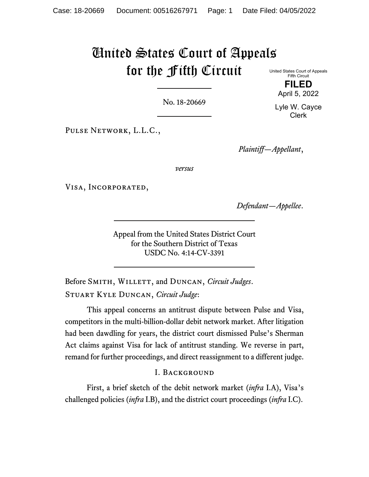# United States Court of Appeals for the Fifth Circuit United States Court of Appeals

No. 18-20669

Pulse Network, L.L.C.,

*Plaintiff—Appellant*,

*versus*

Visa, Incorporated,

*Defendant—Appellee*.

Appeal from the United States District Court for the Southern District of Texas USDC No. 4:14-CV-3391

Before SMITH, WILLETT, and DUNCAN, *Circuit Judges*. Stuart Kyle Duncan, *Circuit Judge*:

This appeal concerns an antitrust dispute between Pulse and Visa, competitors in the multi-billion-dollar debit network market. After litigation had been dawdling for years, the district court dismissed Pulse's Sherman Act claims against Visa for lack of antitrust standing. We reverse in part, remand for further proceedings, and direct reassignment to a different judge.

### I. Background

First, a brief sketch of the debit network market (*infra* I.A), Visa's challenged policies (*infra* I.B), and the district court proceedings (*infra* I.C).

**FILED** April 5, 2022

Fifth Circuit

Lyle W. Cayce Clerk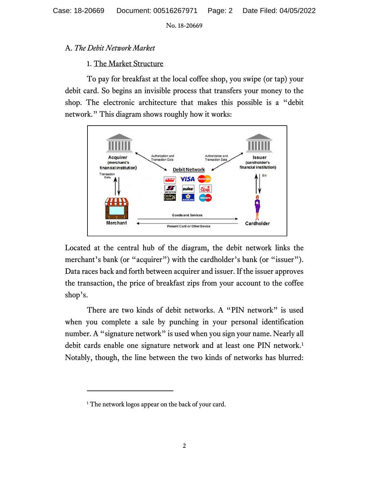## A. *The Debit Network Market*

## 1. The Market Structure

To pay for breakfast at the local coffee shop, you swipe (or tap) your debit card. So begins an invisible process that transfers your money to the shop. The electronic architecture that makes this possible is a "debit network." This diagram shows roughly how it works:



Located at the central hub of the diagram, the debit network links the merchant's bank (or "acquirer") with the cardholder's bank (or "issuer"). Data races back and forth between acquirer and issuer. If the issuer approves the transaction, the price of breakfast zips from your account to the coffee shop's.

There are two kinds of debit networks. A "PIN network" is used when you complete a sale by punching in your personal identification number. A "signature network" is used when you sign your name. Nearly all debit cards enable one signature network and at least one PIN network.<sup>[1](#page-1-0)</sup> Notably, though, the line between the two kinds of networks has blurred:

<span id="page-1-0"></span><sup>&</sup>lt;sup>1</sup> The network logos appear on the back of your card.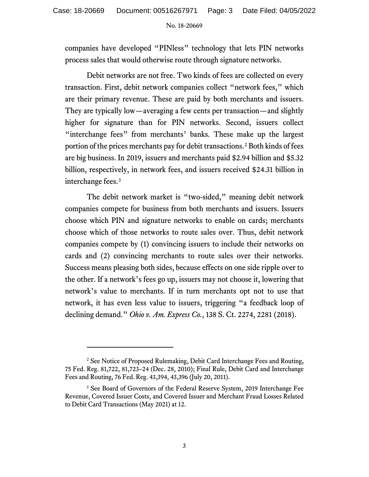companies have developed "PINless" technology that lets PIN networks process sales that would otherwise route through signature networks.

Debit networks are not free. Two kinds of fees are collected on every transaction. First, debit network companies collect "network fees," which are their primary revenue. These are paid by both merchants and issuers. They are typically low—averaging a few cents per transaction—and slightly higher for signature than for PIN networks. Second, issuers collect "interchange fees" from merchants' banks. These make up the largest portion of the prices merchants pay for debit transactions.<sup>[2](#page-2-0)</sup> Both kinds of fees are big business. In 2019, issuers and merchants paid \$2.94 billion and \$5.32 billion, respectively, in network fees, and issuers received \$24.31 billion in interchange fees. [3](#page-2-1)

The debit network market is "two-sided," meaning debit network companies compete for business from both merchants and issuers. Issuers choose which PIN and signature networks to enable on cards; merchants choose which of those networks to route sales over. Thus, debit network companies compete by (1) convincing issuers to include their networks on cards and (2) convincing merchants to route sales over their networks. Success means pleasing both sides, because effects on one side ripple over to the other. If a network's fees go up, issuers may not choose it, lowering that network's value to merchants. If in turn merchants opt not to use that network, it has even less value to issuers, triggering "a feedback loop of declining demand." *Ohio v. Am. Express Co.*, 138 S. Ct. 2274, 2281 (2018).

<span id="page-2-0"></span><sup>&</sup>lt;sup>2</sup> See Notice of Proposed Rulemaking, Debit Card Interchange Fees and Routing, 75 Fed. Reg. 81,722, 81,723–24 (Dec. 28, 2010); Final Rule, Debit Card and Interchange Fees and Routing, 76 Fed. Reg. 43,394, 43,396 (July 20, 2011).

<span id="page-2-1"></span><sup>&</sup>lt;sup>3</sup> See Board of Governors of the Federal Reserve System, 2019 Interchange Fee Revenue, Covered Issuer Costs, and Covered Issuer and Merchant Fraud Losses Related to Debit Card Transactions (May 2021) at 12.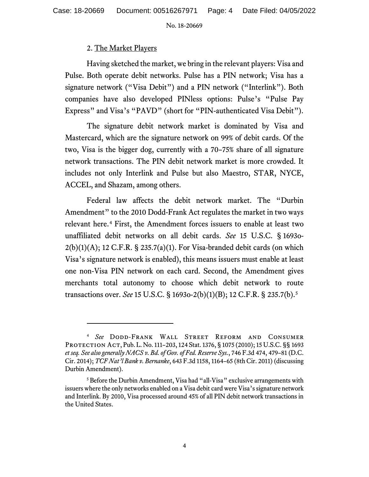## 2. The Market Players

Having sketched the market, we bring in the relevant players: Visa and Pulse. Both operate debit networks. Pulse has a PIN network; Visa has a signature network ("Visa Debit") and a PIN network ("Interlink"). Both companies have also developed PINless options: Pulse's "Pulse Pay Express" and Visa's "PAVD" (short for "PIN-authenticated Visa Debit").

The signature debit network market is dominated by Visa and Mastercard, which are the signature network on 99% of debit cards. Of the two, Visa is the bigger dog, currently with a 70–75% share of all signature network transactions. The PIN debit network market is more crowded. It includes not only Interlink and Pulse but also Maestro, STAR, NYCE, ACCEL, and Shazam, among others.

Federal law affects the debit network market. The "Durbin Amendment" to the 2010 Dodd-Frank Act regulates the market in two ways relevant here.<sup>[4](#page-3-0)</sup> First, the Amendment forces issuers to enable at least two unaffiliated debit networks on all debit cards. *See* 15 U.S.C. § 1693o- $2(b)(1)(A)$ ; 12 C.F.R. § 235.7(a)(1). For Visa-branded debit cards (on which Visa's signature network is enabled), this means issuers must enable at least one non-Visa PIN network on each card. Second, the Amendment gives merchants total autonomy to choose which debit network to route transactions over. *See* 15 U.S.C. § 1693o-2(b)(1)(B); 12 C.F.R. § 235.7(b).[5](#page-3-1)

<span id="page-3-0"></span><sup>4</sup> *See* Dodd-Frank Wall Street Reform and Consumer Protection Act, Pub. L. No. 111–203, 124 Stat. 1376, § 1075 (2010); 15 U.S.C. §§ 1693 *et seq. See also generally NACS v. Bd. of Gov. of Fed. Reserve Sys.*, 746 F.3d 474, 479–81 (D.C. Cir. 2014); *TCF Nat'l Bank v. Bernanke*, 643 F.3d 1158, 1164–65 (8th Cir. 2011) (discussing Durbin Amendment).

<span id="page-3-1"></span><sup>5</sup> Before the Durbin Amendment, Visa had "all-Visa" exclusive arrangements with issuers where the only networks enabled on a Visa debit card were Visa's signature network and Interlink. By 2010, Visa processed around 45% of all PIN debit network transactions in the United States.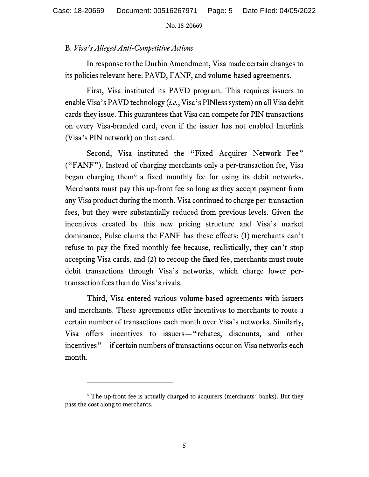## B. *Visa's Alleged Anti-Competitive Actions*

In response to the Durbin Amendment, Visa made certain changes to its policies relevant here: PAVD, FANF, and volume-based agreements.

First, Visa instituted its PAVD program. This requires issuers to enable Visa's PAVD technology (*i.e.*, Visa's PINless system) on all Visa debit cards they issue. This guarantees that Visa can compete for PIN transactions on every Visa-branded card, even if the issuer has not enabled Interlink (Visa's PIN network) on that card.

Second, Visa instituted the "Fixed Acquirer Network Fee" ("FANF"). Instead of charging merchants only a per-transaction fee, Visa began charging them<sup>[6](#page-4-0)</sup> a fixed monthly fee for using its debit networks. Merchants must pay this up-front fee so long as they accept payment from any Visa product during the month. Visa continued to charge per-transaction fees, but they were substantially reduced from previous levels. Given the incentives created by this new pricing structure and Visa's market dominance, Pulse claims the FANF has these effects: (1) merchants can't refuse to pay the fixed monthly fee because, realistically, they can't stop accepting Visa cards, and (2) to recoup the fixed fee, merchants must route debit transactions through Visa's networks, which charge lower pertransaction fees than do Visa's rivals.

Third, Visa entered various volume-based agreements with issuers and merchants. These agreements offer incentives to merchants to route a certain number of transactions each month over Visa's networks. Similarly, Visa offers incentives to issuers—"rebates, discounts, and other incentives"—if certain numbers of transactions occur on Visa networks each month.

<span id="page-4-0"></span><sup>&</sup>lt;sup>6</sup> The up-front fee is actually charged to acquirers (merchants' banks). But they pass the cost along to merchants.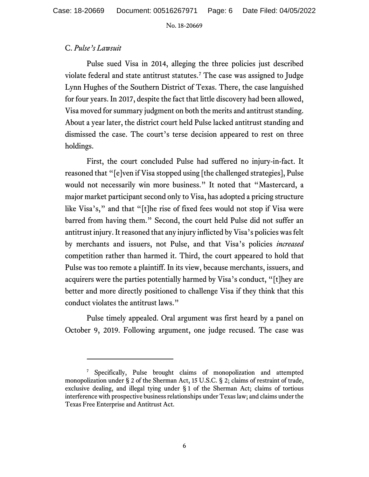### C. *Pulse's Lawsuit*

Pulse sued Visa in 2014, alleging the three policies just described violate federal and state antitrust statutes.[7](#page-5-0) The case was assigned to Judge Lynn Hughes of the Southern District of Texas. There, the case languished for four years. In 2017, despite the fact that little discovery had been allowed, Visa moved for summary judgment on both the merits and antitrust standing. About a year later, the district court held Pulse lacked antitrust standing and dismissed the case. The court's terse decision appeared to rest on three holdings.

First, the court concluded Pulse had suffered no injury-in-fact. It reasoned that "[e]ven if Visa stopped using [the challenged strategies], Pulse would not necessarily win more business." It noted that "Mastercard, a major market participant second only to Visa, has adopted a pricing structure like Visa's," and that "[t]he rise of fixed fees would not stop if Visa were barred from having them." Second, the court held Pulse did not suffer an antitrust injury. It reasoned that any injury inflicted by Visa's policies was felt by merchants and issuers, not Pulse, and that Visa's policies *increased* competition rather than harmed it. Third, the court appeared to hold that Pulse was too remote a plaintiff. In its view, because merchants, issuers, and acquirers were the parties potentially harmed by Visa's conduct, "[t]hey are better and more directly positioned to challenge Visa if they think that this conduct violates the antitrust laws."

Pulse timely appealed. Oral argument was first heard by a panel on October 9, 2019. Following argument, one judge recused. The case was

<span id="page-5-0"></span><sup>&</sup>lt;sup>7</sup> Specifically, Pulse brought claims of monopolization and attempted monopolization under § 2 of the Sherman Act, 15 U.S.C. § 2; claims of restraint of trade, exclusive dealing, and illegal tying under § 1 of the Sherman Act; claims of tortious interference with prospective business relationships under Texas law; and claims under the Texas Free Enterprise and Antitrust Act.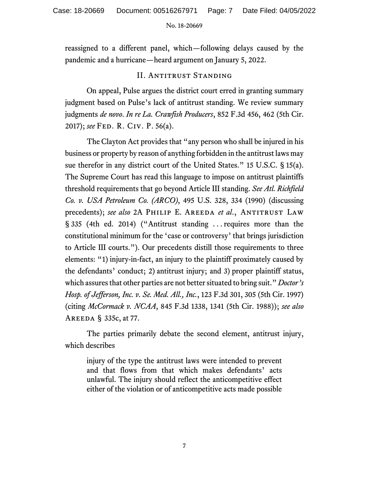reassigned to a different panel, which—following delays caused by the pandemic and a hurricane—heard argument on January 5, 2022.

## II. Antitrust Standing

On appeal, Pulse argues the district court erred in granting summary judgment based on Pulse's lack of antitrust standing. We review summary judgments *de novo*. *In re La. Crawfish Producers*, 852 F.3d 456, 462 (5th Cir. 2017); *see* Fed. R. Civ. P. 56(a).

The Clayton Act provides that "any person who shall be injured in his business or property by reason of anything forbidden in the antitrust laws may sue therefor in any district court of the United States." 15 U.S.C. § 15(a). The Supreme Court has read this language to impose on antitrust plaintiffs threshold requirements that go beyond Article III standing. *See Atl. Richfield Co. v. USA Petroleum Co. (ARCO)*, 495 U.S. 328, 334 (1990) (discussing precedents); *see also* 2A PHILIP E. AREEDA *et al.*, ANTITRUST LAW § 335 (4th ed. 2014) ("Antitrust standing . . . requires more than the constitutional minimum for the 'case or controversy' that brings jurisdiction to Article III courts."). Our precedents distill those requirements to three elements: "1) injury-in-fact, an injury to the plaintiff proximately caused by the defendants' conduct; 2) antitrust injury; and 3) proper plaintiff status, which assures that other parties are not better situated to bring suit." *Doctor's Hosp. of Jefferson, Inc. v. Se. Med. All., Inc.*, 123 F.3d 301, 305 (5th Cir. 1997) (citing *McCormack v. NCAA*, 845 F.3d 1338, 1341 (5th Cir. 1988)); *see also*  Areeda § 335c, at 77.

The parties primarily debate the second element, antitrust injury, which describes

injury of the type the antitrust laws were intended to prevent and that flows from that which makes defendants' acts unlawful. The injury should reflect the anticompetitive effect either of the violation or of anticompetitive acts made possible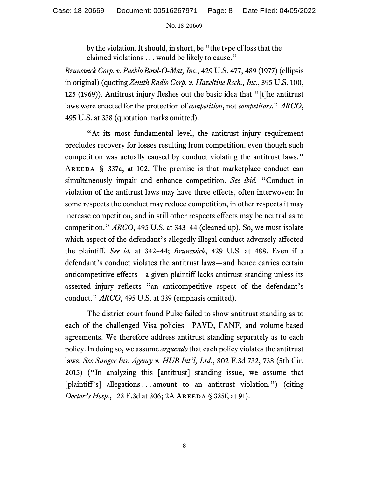by the violation. It should, in short, be "the type of loss that the claimed violations . . . would be likely to cause."

*Brunswick Corp. v. Pueblo Bowl-O-Mat, Inc.*, 429 U.S. 477, 489 (1977) (ellipsis in original) (quoting *Zenith Radio Corp. v. Hazeltine Rsch., Inc.*, 395 U.S. 100, 125 (1969)). Antitrust injury fleshes out the basic idea that "[t]he antitrust laws were enacted for the protection of *competition*, not *competitors*." *ARCO*, 495 U.S. at 338 (quotation marks omitted).

"At its most fundamental level, the antitrust injury requirement precludes recovery for losses resulting from competition, even though such competition was actually caused by conduct violating the antitrust laws." AREEDA  $\S$  337a, at 102. The premise is that marketplace conduct can simultaneously impair and enhance competition. *See ibid.* "Conduct in violation of the antitrust laws may have three effects, often interwoven: In some respects the conduct may reduce competition, in other respects it may increase competition, and in still other respects effects may be neutral as to competition." *ARCO*, 495 U.S. at 343–44 (cleaned up). So, we must isolate which aspect of the defendant's allegedly illegal conduct adversely affected the plaintiff. *See id.* at 342–44; *Brunswick*, 429 U.S. at 488. Even if a defendant's conduct violates the antitrust laws—and hence carries certain anticompetitive effects—a given plaintiff lacks antitrust standing unless its asserted injury reflects "an anticompetitive aspect of the defendant's conduct." *ARCO*, 495 U.S. at 339 (emphasis omitted).

The district court found Pulse failed to show antitrust standing as to each of the challenged Visa policies—PAVD, FANF, and volume-based agreements. We therefore address antitrust standing separately as to each policy. In doing so, we assume *arguendo* that each policy violates the antitrust laws. *See Sanger Ins. Agency v. HUB Int'l, Ltd.*, 802 F.3d 732, 738 (5th Cir. 2015) ("In analyzing this [antitrust] standing issue, we assume that [plaintiff's] allegations . . . amount to an antitrust violation.") (citing *Doctor's Hosp.*, 123 F.3d at 306; 2A AREEDA § 335f, at 91).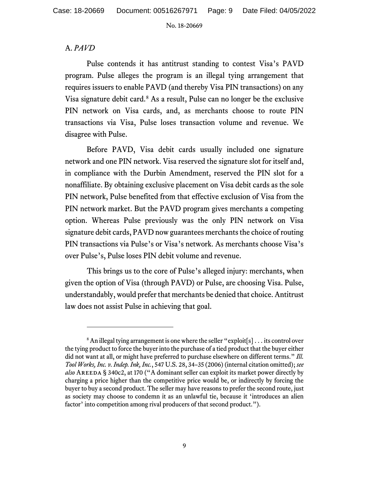## A. *PAVD*

Pulse contends it has antitrust standing to contest Visa's PAVD program. Pulse alleges the program is an illegal tying arrangement that requires issuers to enable PAVD (and thereby Visa PIN transactions) on any Visa signature debit card.<sup>[8](#page-8-0)</sup> As a result, Pulse can no longer be the exclusive PIN network on Visa cards, and, as merchants choose to route PIN transactions via Visa, Pulse loses transaction volume and revenue. We disagree with Pulse.

Before PAVD, Visa debit cards usually included one signature network and one PIN network. Visa reserved the signature slot for itself and, in compliance with the Durbin Amendment, reserved the PIN slot for a nonaffiliate. By obtaining exclusive placement on Visa debit cards as the sole PIN network, Pulse benefited from that effective exclusion of Visa from the PIN network market. But the PAVD program gives merchants a competing option. Whereas Pulse previously was the only PIN network on Visa signature debit cards, PAVD now guarantees merchants the choice of routing PIN transactions via Pulse's or Visa's network. As merchants choose Visa's over Pulse's, Pulse loses PIN debit volume and revenue.

This brings us to the core of Pulse's alleged injury: merchants, when given the option of Visa (through PAVD) or Pulse, are choosing Visa. Pulse, understandably, would prefer that merchants be denied that choice.Antitrust law does not assist Pulse in achieving that goal.

<span id="page-8-0"></span> $8$  An illegal tying arrangement is one where the seller "exploit[s] . . . its control over the tying product to force the buyer into the purchase of a tied product that the buyer either did not want at all, or might have preferred to purchase elsewhere on different terms." *Ill. Tool Works, Inc. v. Indep. Ink, Inc.*, 547 U.S. 28, 34–35 (2006) (internal citation omitted); *see also* Areeda § 340c2, at 170 ("A dominant seller can exploit its market power directly by charging a price higher than the competitive price would be, or indirectly by forcing the buyer to buy a second product. The seller may have reasons to prefer the second route, just as society may choose to condemn it as an unlawful tie, because it 'introduces an alien factor' into competition among rival producers of that second product.").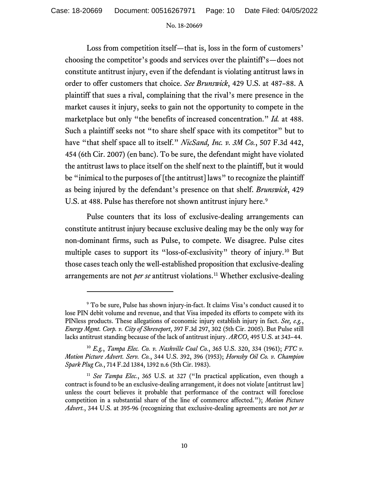Loss from competition itself—that is, loss in the form of customers' choosing the competitor's goods and services over the plaintiff's—does not constitute antitrust injury, even if the defendant is violating antitrust laws in order to offer customers that choice. *See Brunswick*, 429 U.S. at 487–88. A plaintiff that sues a rival, complaining that the rival's mere presence in the market causes it injury, seeks to gain not the opportunity to compete in the marketplace but only "the benefits of increased concentration." *Id.* at 488. Such a plaintiff seeks not "to share shelf space with its competitor" but to have "that shelf space all to itself." *NicSand, Inc. v. 3M Co.*, 507 F.3d 442, 454 (6th Cir. 2007) (en banc). To be sure, the defendant might have violated the antitrust laws to place itself on the shelf next to the plaintiff, but it would be "inimical to the purposes of [the antitrust] laws" to recognize the plaintiff as being injured by the defendant's presence on that shelf. *Brunswick*, 429 U.S. at 488. Pulse has therefore not shown antitrust injury here.<sup>[9](#page-9-0)</sup>

Pulse counters that its loss of exclusive-dealing arrangements can constitute antitrust injury because exclusive dealing may be the only way for non-dominant firms, such as Pulse, to compete. We disagree. Pulse cites multiple cases to support its "loss-of-exclusivity" theory of injury.[10](#page-9-1) But those cases teach only the well-established proposition that exclusive-dealing arrangements are not *per se* antitrust violations.[11](#page-9-2) Whether exclusive-dealing

<span id="page-9-0"></span><sup>&</sup>lt;sup>9</sup> To be sure, Pulse has shown injury-in-fact. It claims Visa's conduct caused it to lose PIN debit volume and revenue, and that Visa impeded its efforts to compete with its PINless products. These allegations of economic injury establish injury in fact. *See, e.g.*, *Energy Mgmt. Corp. v. City of Shreveport*, 397 F.3d 297, 302 (5th Cir. 2005). But Pulse still lacks antitrust standing because of the lack of antitrust injury. *ARCO*, 495 U.S. at 343–44.

<span id="page-9-1"></span><sup>10</sup> *E.g.*, *Tampa Elec. Co. v. Nashville Coal Co.*, 365 U.S. 320, 334 (1961); *FTC v. Motion Picture Advert. Serv. Co.*, 344 U.S. 392, 396 (1953); *Hornsby Oil Co. v. Champion Spark Plug Co.*, 714 F.2d 1384, 1392 n.6 (5th Cir. 1983).

<span id="page-9-2"></span><sup>11</sup> *See Tampa Elec.*, 365 U.S. at 327 ("In practical application, even though a contract is found to be an exclusive-dealing arrangement, it does not violate [antitrust law] unless the court believes it probable that performance of the contract will foreclose competition in a substantial share of the line of commerce affected."); *Motion Picture Advert.*, 344 U.S. at 395-96 (recognizing that exclusive-dealing agreements are not *per se*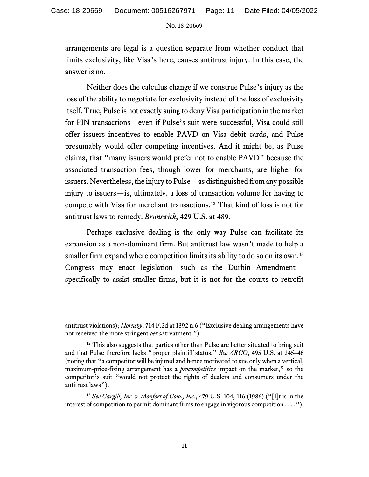arrangements are legal is a question separate from whether conduct that limits exclusivity, like Visa's here, causes antitrust injury. In this case, the answer is no.

Neither does the calculus change if we construe Pulse's injury as the loss of the ability to negotiate for exclusivity instead of the loss of exclusivity itself. True, Pulse is not exactly suing to deny Visa participation in the market for PIN transactions—even if Pulse's suit were successful, Visa could still offer issuers incentives to enable PAVD on Visa debit cards, and Pulse presumably would offer competing incentives. And it might be, as Pulse claims, that "many issuers would prefer not to enable PAVD" because the associated transaction fees, though lower for merchants, are higher for issuers. Nevertheless, the injury to Pulse—as distinguished from any possible injury to issuers—is, ultimately, a loss of transaction volume for having to compete with Visa for merchant transactions.[12](#page-10-0) That kind of loss is not for antitrust laws to remedy. *Brunswick*, 429 U.S. at 489.

Perhaps exclusive dealing is the only way Pulse can facilitate its expansion as a non-dominant firm. But antitrust law wasn't made to help a smaller firm expand where competition limits its ability to do so on its own.<sup>[13](#page-10-1)</sup> Congress may enact legislation—such as the Durbin Amendment specifically to assist smaller firms, but it is not for the courts to retrofit

antitrust violations); *Hornsby*, 714 F.2d at 1392 n.6 ("Exclusive dealing arrangements have not received the more stringent *per se* treatment.").

<span id="page-10-0"></span> $12$  This also suggests that parties other than Pulse are better situated to bring suit and that Pulse therefore lacks "proper plaintiff status." *See ARCO*, 495 U.S. at 345–46 (noting that "a competitor will be injured and hence motivated to sue only when a vertical, maximum-price-fixing arrangement has a *procompetitive* impact on the market," so the competitor's suit "would not protect the rights of dealers and consumers under the antitrust laws").

<span id="page-10-1"></span><sup>13</sup> *See Cargill, Inc. v. Monfort of Colo., Inc.*, 479 U.S. 104, 116 (1986) ("[I]t is in the interest of competition to permit dominant firms to engage in vigorous competition . . . .").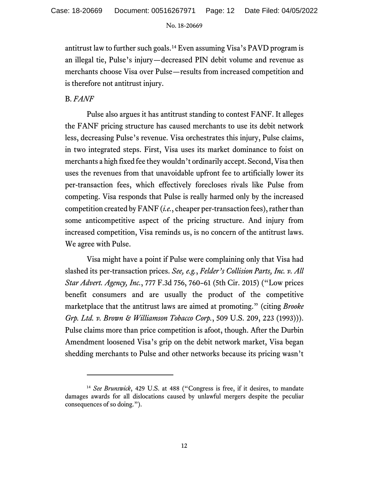antitrust law to further such goals.<sup>[14](#page-11-0)</sup> Even assuming Visa's PAVD program is an illegal tie, Pulse's injury—decreased PIN debit volume and revenue as merchants choose Visa over Pulse—results from increased competition and is therefore not antitrust injury.

## B. *FANF*

Pulse also argues it has antitrust standing to contest FANF. It alleges the FANF pricing structure has caused merchants to use its debit network less, decreasing Pulse's revenue. Visa orchestrates this injury, Pulse claims, in two integrated steps. First, Visa uses its market dominance to foist on merchants a high fixed fee they wouldn't ordinarily accept. Second, Visa then uses the revenues from that unavoidable upfront fee to artificially lower its per-transaction fees, which effectively forecloses rivals like Pulse from competing. Visa responds that Pulse is really harmed only by the increased competition created by FANF (*i.e.*, cheaper per-transaction fees), rather than some anticompetitive aspect of the pricing structure. And injury from increased competition, Visa reminds us, is no concern of the antitrust laws. We agree with Pulse.

Visa might have a point if Pulse were complaining only that Visa had slashed its per-transaction prices. *See, e.g.*, *Felder's Collision Parts, Inc. v. All Star Advert. Agency, Inc.*, 777 F.3d 756, 760–61 (5th Cir. 2015) ("Low prices benefit consumers and are usually the product of the competitive marketplace that the antitrust laws are aimed at promoting." (citing *Brooke Grp. Ltd. v. Brown & Williamson Tobacco Corp.*, 509 U.S. 209, 223 (1993))). Pulse claims more than price competition is afoot, though. After the Durbin Amendment loosened Visa's grip on the debit network market, Visa began shedding merchants to Pulse and other networks because its pricing wasn't

<span id="page-11-0"></span><sup>&</sup>lt;sup>14</sup> See Brunswick, 429 U.S. at 488 ("Congress is free, if it desires, to mandate damages awards for all dislocations caused by unlawful mergers despite the peculiar consequences of so doing.").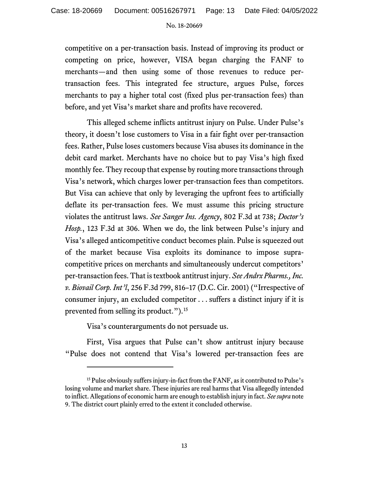competitive on a per-transaction basis. Instead of improving its product or competing on price, however, VISA began charging the FANF to merchants—and then using some of those revenues to reduce pertransaction fees. This integrated fee structure, argues Pulse, forces merchants to pay a higher total cost (fixed plus per-transaction fees) than before, and yet Visa's market share and profits have recovered.

This alleged scheme inflicts antitrust injury on Pulse. Under Pulse's theory, it doesn't lose customers to Visa in a fair fight over per-transaction fees. Rather, Pulse loses customers because Visa abuses its dominance in the debit card market. Merchants have no choice but to pay Visa's high fixed monthly fee. They recoup that expense by routing more transactions through Visa's network, which charges lower per-transaction fees than competitors. But Visa can achieve that only by leveraging the upfront fees to artificially deflate its per-transaction fees. We must assume this pricing structure violates the antitrust laws. *See Sanger Ins. Agency*, 802 F.3d at 738; *Doctor's Hosp.*, 123 F.3d at 306. When we do, the link between Pulse's injury and Visa's alleged anticompetitive conduct becomes plain. Pulse is squeezed out of the market because Visa exploits its dominance to impose supracompetitive prices on merchants and simultaneously undercut competitors' per-transaction fees. That is textbook antitrust injury. *See Andrx Pharms., Inc. v. Biovail Corp. Int'l*, 256 F.3d 799, 816–17 (D.C. Cir. 2001) ("Irrespective of consumer injury, an excluded competitor . . . suffers a distinct injury if it is prevented from selling its product.").[15](#page-12-0)

Visa's counterarguments do not persuade us.

First, Visa argues that Pulse can't show antitrust injury because "Pulse does not contend that Visa's lowered per-transaction fees are

<span id="page-12-0"></span><sup>&</sup>lt;sup>15</sup> Pulse obviously suffers injury-in-fact from the FANF, as it contributed to Pulse's losing volume and market share. These injuries are real harms that Visa allegedly intended to inflict.Allegations of economic harm are enough to establish injury in fact. *See supra* note 9. The district court plainly erred to the extent it concluded otherwise.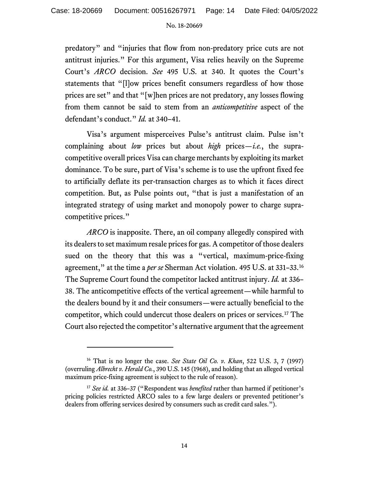predatory" and "injuries that flow from non-predatory price cuts are not antitrust injuries." For this argument, Visa relies heavily on the Supreme Court's *ARCO* decision. *See* 495 U.S. at 340. It quotes the Court's statements that "[l]ow prices benefit consumers regardless of how those prices are set" and that "[w]hen prices are not predatory, any losses flowing from them cannot be said to stem from an *anticompetitive* aspect of the defendant's conduct." *Id.* at 340–41.

Visa's argument misperceives Pulse's antitrust claim. Pulse isn't complaining about *low* prices but about *high* prices—*i.e.*, the supracompetitive overall prices Visa can charge merchants by exploiting its market dominance. To be sure, part of Visa's scheme is to use the upfront fixed fee to artificially deflate its per-transaction charges as to which it faces direct competition. But, as Pulse points out, "that is just a manifestation of an integrated strategy of using market and monopoly power to charge supracompetitive prices."

*ARCO* is inapposite. There, an oil company allegedly conspired with its dealers to set maximum resale prices for gas. A competitor of those dealers sued on the theory that this was a "vertical, maximum-price-fixing agreement," at the time a *per se* Sherman Act violation. 495 U.S. at 331–33.[16](#page-13-0) The Supreme Court found the competitor lacked antitrust injury. *Id.* at 336– 38. The anticompetitive effects of the vertical agreement—while harmful to the dealers bound by it and their consumers—were actually beneficial to the competitor, which could undercut those dealers on prices or services.[17](#page-13-1) The Court also rejected the competitor's alternative argument that the agreement

<span id="page-13-0"></span><sup>16</sup> That is no longer the case. *See State Oil Co. v. Khan*, 522 U.S. 3, 7 (1997) (overruling *Albrecht v. Herald Co.*, 390 U.S. 145 (1968), and holding that an alleged vertical maximum price-fixing agreement is subject to the rule of reason).

<span id="page-13-1"></span><sup>17</sup> *See id.* at 336–37 ("Respondent was *benefited* rather than harmed if petitioner's pricing policies restricted ARCO sales to a few large dealers or prevented petitioner's dealers from offering services desired by consumers such as credit card sales.").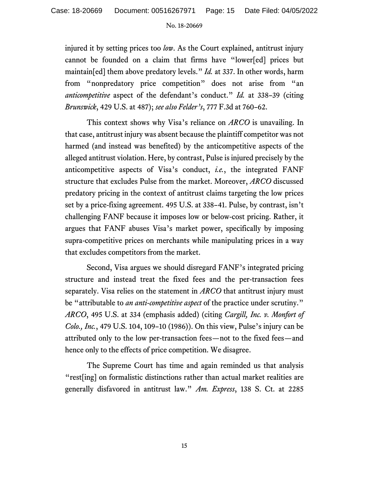injured it by setting prices too *low*. As the Court explained, antitrust injury cannot be founded on a claim that firms have "lower[ed] prices but maintain[ed] them above predatory levels." *Id.* at 337. In other words, harm from "nonpredatory price competition" does not arise from "an *anticompetitive* aspect of the defendant's conduct." *Id.* at 338–39 (citing *Brunswick*, 429 U.S. at 487); *see also Felder's*, 777 F.3d at 760–62.

This context shows why Visa's reliance on *ARCO* is unavailing. In that case, antitrust injury was absent because the plaintiff competitor was not harmed (and instead was benefited) by the anticompetitive aspects of the alleged antitrust violation. Here, by contrast, Pulse is injured precisely by the anticompetitive aspects of Visa's conduct, *i.e.*, the integrated FANF structure that excludes Pulse from the market. Moreover, *ARCO* discussed predatory pricing in the context of antitrust claims targeting the low prices set by a price-fixing agreement. 495 U.S. at 338–41. Pulse, by contrast, isn't challenging FANF because it imposes low or below-cost pricing. Rather, it argues that FANF abuses Visa's market power, specifically by imposing supra-competitive prices on merchants while manipulating prices in a way that excludes competitors from the market.

Second, Visa argues we should disregard FANF's integrated pricing structure and instead treat the fixed fees and the per-transaction fees separately. Visa relies on the statement in *ARCO* that antitrust injury must be "attributable to *an anti-competitive aspect* of the practice under scrutiny." *ARCO*, 495 U.S. at 334 (emphasis added) (citing *Cargill, Inc. v. Monfort of Colo., Inc.*, 479 U.S. 104, 109–10 (1986)). On this view, Pulse's injury can be attributed only to the low per-transaction fees—not to the fixed fees—and hence only to the effects of price competition. We disagree.

The Supreme Court has time and again reminded us that analysis "rest[ing] on formalistic distinctions rather than actual market realities are generally disfavored in antitrust law." *Am. Express*, 138 S. Ct. at 2285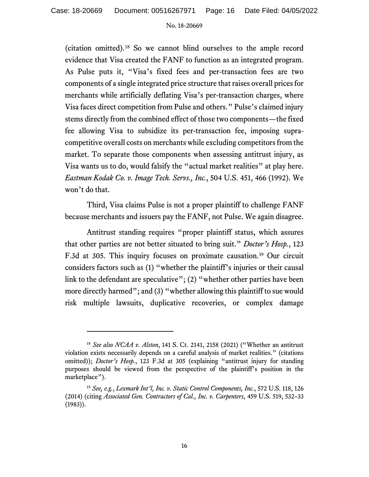(citation omitted). [18](#page-15-0) So we cannot blind ourselves to the ample record evidence that Visa created the FANF to function as an integrated program. As Pulse puts it, "Visa's fixed fees and per-transaction fees are two components of a single integrated price structure that raises overall prices for merchants while artificially deflating Visa's per-transaction charges, where Visa faces direct competition from Pulse and others." Pulse's claimed injury stems directly from the combined effect of those two components—the fixed fee allowing Visa to subsidize its per-transaction fee, imposing supracompetitive overall costs on merchants while excluding competitors from the market. To separate those components when assessing antitrust injury, as Visa wants us to do, would falsify the "actual market realities" at play here. *Eastman Kodak Co. v. Image Tech. Servs., Inc.*, 504 U.S. 451, 466 (1992). We won't do that.

Third, Visa claims Pulse is not a proper plaintiff to challenge FANF because merchants and issuers pay the FANF, not Pulse. We again disagree.

Antitrust standing requires "proper plaintiff status, which assures that other parties are not better situated to bring suit." *Doctor's Hosp.*, 123 F.3d at 305. This inquiry focuses on proximate causation.[19](#page-15-1) Our circuit considers factors such as (1) "whether the plaintiff's injuries or their causal link to the defendant are speculative"; (2) "whether other parties have been more directly harmed"; and (3) "whether allowing this plaintiff to sue would risk multiple lawsuits, duplicative recoveries, or complex damage

<span id="page-15-0"></span><sup>18</sup> *See also NCAA v. Alston*, 141 S. Ct. 2141, 2158 (2021) ("Whether an antitrust violation exists necessarily depends on a careful analysis of market realities." (citations omitted)); *Doctor's Hosp.*, 123 F.3d at 305 (explaining "antitrust injury for standing purposes should be viewed from the perspective of the plaintiff's position in the marketplace").

<span id="page-15-1"></span><sup>19</sup> *See, e.g.*, *Lexmark Int'l, Inc. v. Static Control Components, Inc.*, 572 U.S. 118, 126 (2014) (citing *Associated Gen. Contractors of Cal., Inc. v. Carpenters*, 459 U.S. 519, 532–33 (1983)).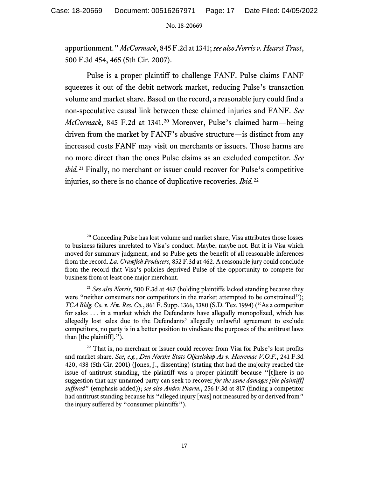apportionment." *McCormack*, 845 F.2d at 1341; *see also Norris v. Hearst Trust*, 500 F.3d 454, 465 (5th Cir. 2007).

Pulse is a proper plaintiff to challenge FANF. Pulse claims FANF squeezes it out of the debit network market, reducing Pulse's transaction volume and market share. Based on the record, a reasonable jury could find a non-speculative causal link between these claimed injuries and FANF. *See McCormack*, 845 F.2d at 1341.<sup>[20](#page-16-0)</sup> Moreover, Pulse's claimed harm-being driven from the market by FANF's abusive structure—is distinct from any increased costs FANF may visit on merchants or issuers. Those harms are no more direct than the ones Pulse claims as an excluded competitor. *See ibid.*<sup>[21](#page-16-1)</sup> Finally, no merchant or issuer could recover for Pulse's competitive injuries, so there is no chance of duplicative recoveries. *Ibid.* [22](#page-16-2)

<span id="page-16-0"></span><sup>&</sup>lt;sup>20</sup> Conceding Pulse has lost volume and market share, Visa attributes those losses to business failures unrelated to Visa's conduct. Maybe, maybe not. But it is Visa which moved for summary judgment, and so Pulse gets the benefit of all reasonable inferences from the record. *La. Crawfish Producers*, 852 F.3d at 462. A reasonable jury could conclude from the record that Visa's policies deprived Pulse of the opportunity to compete for business from at least one major merchant.

<span id="page-16-1"></span><sup>21</sup> *See also Norris*, 500 F.3d at 467 (holding plaintiffs lacked standing because they were "neither consumers nor competitors in the market attempted to be constrained"); *TCA Bldg. Co. v. Nw. Res. Co.*, 861 F. Supp. 1366, 1380 (S.D. Tex. 1994) ("As a competitor for sales . . . in a market which the Defendants have allegedly monopolized, which has allegedly lost sales due to the Defendants' allegedly unlawful agreement to exclude competitors, no party is in a better position to vindicate the purposes of the antitrust laws than [the plaintiff].").

<span id="page-16-2"></span> $22$  That is, no merchant or issuer could recover from Visa for Pulse's lost profits and market share. *See, e.g.*, *Den Norske Stats Oljeselskap As v. Heeremac V.O.F.*, 241 F.3d 420, 438 (5th Cir. 2001) (Jones, J., dissenting) (stating that had the majority reached the issue of antitrust standing, the plaintiff was a proper plaintiff because "[t]here is no suggestion that any unnamed party can seek to recover *for the same damages [the plaintiff] suffered*" (emphasis added)); *see also Andrx Pharm.*, 256 F.3d at 817 (finding a competitor had antitrust standing because his "alleged injury [was] not measured by or derived from" the injury suffered by "consumer plaintiffs").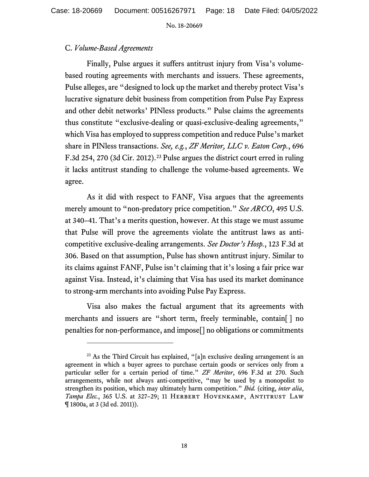### C. *Volume-Based Agreements*

Finally, Pulse argues it suffers antitrust injury from Visa's volumebased routing agreements with merchants and issuers. These agreements, Pulse alleges, are "designed to lock up the market and thereby protect Visa's lucrative signature debit business from competition from Pulse Pay Express and other debit networks' PINless products." Pulse claims the agreements thus constitute "exclusive-dealing or quasi-exclusive-dealing agreements," which Visa has employed to suppress competition and reduce Pulse's market share in PINless transactions. *See, e.g.*, *ZF Meritor, LLC v. Eaton Corp.*, 696 F.3d 254, 270 (3d Cir. 2012).<sup>[23](#page-17-0)</sup> Pulse argues the district court erred in ruling it lacks antitrust standing to challenge the volume-based agreements. We agree.

As it did with respect to FANF, Visa argues that the agreements merely amount to "non-predatory price competition." *See ARCO*, 495 U.S. at 340–41. That's a merits question, however. At this stage we must assume that Pulse will prove the agreements violate the antitrust laws as anticompetitive exclusive-dealing arrangements. *See Doctor's Hosp.*, 123 F.3d at 306. Based on that assumption, Pulse has shown antitrust injury. Similar to its claims against FANF, Pulse isn't claiming that it's losing a fair price war against Visa. Instead, it's claiming that Visa has used its market dominance to strong-arm merchants into avoiding Pulse Pay Express.

Visa also makes the factual argument that its agreements with merchants and issuers are "short term, freely terminable, contain[ ] no penalties for non-performance, and impose[] no obligations or commitments

<span id="page-17-0"></span> $23$  As the Third Circuit has explained, "[a]n exclusive dealing arrangement is an agreement in which a buyer agrees to purchase certain goods or services only from a particular seller for a certain period of time." *ZF Meritor*, 696 F.3d at 270. Such arrangements, while not always anti-competitive, "may be used by a monopolist to strengthen its position, which may ultimately harm competition." *Ibid.* (citing, *inter alia*, Tampa Elec., 365 U.S. at 327-29; 11 HERBERT HOVENKAMP, ANTITRUST LAW ¶ 1800a, at 3 (3d ed. 2011)).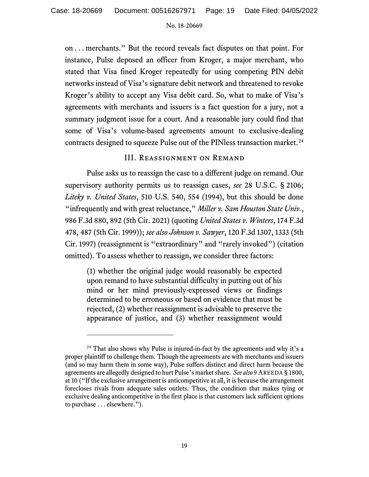on . . . merchants." But the record reveals fact disputes on that point. For instance, Pulse deposed an officer from Kroger, a major merchant, who stated that Visa fined Kroger repeatedly for using competing PIN debit networks instead of Visa's signature debit network and threatened to revoke Kroger's ability to accept any Visa debit card. So, what to make of Visa's agreements with merchants and issuers is a fact question for a jury, not a summary judgment issue for a court. And a reasonable jury could find that some of Visa's volume-based agreements amount to exclusive-dealing contracts designed to squeeze Pulse out of the PINless transaction market.<sup>24</sup>

### III. Reassignment on Remand

Pulse asks us to reassign the case to a different judge on remand. Our supervisory authority permits us to reassign cases, *see* 28 U.S.C. § 2106; *Liteky v. United States*, 510 U.S. 540, 554 (1994), but this should be done "infrequently and with great reluctance," *Miller v. Sam Houston State Univ.*, 986 F.3d 880, 892 (5th Cir. 2021) (quoting *United States v. Winters*, 174 F.3d 478, 487 (5th Cir. 1999)); *see also Johnson v. Sawyer*, 120 F.3d 1307, 1333 (5th Cir. 1997) (reassignment is "extraordinary" and "rarely invoked") (citation omitted). To assess whether to reassign, we consider three factors:

(1) whether the original judge would reasonably be expected upon remand to have substantial difficulty in putting out of his mind or her mind previously-expressed views or findings determined to be erroneous or based on evidence that must be rejected, (2) whether reassignment is advisable to preserve the appearance of justice, and (3) whether reassignment would

<span id="page-18-0"></span> $24$  That also shows why Pulse is injured-in-fact by the agreements and why it's a proper plaintiff to challenge them. Though the agreements are with merchants and issuers (and so may harm them in some way), Pulse suffers distinct and direct harm because the agreements are allegedly designed to hurt Pulse's market share. *See also* 9 AREEDA § 1800, at 10 ("If the exclusive arrangement is anticompetitive at all, it is because the arrangement forecloses rivals from adequate sales outlets. Thus, the condition that makes tying or exclusive dealing anticompetitive in the first place is that customers lack sufficient options to purchase . . . elsewhere.").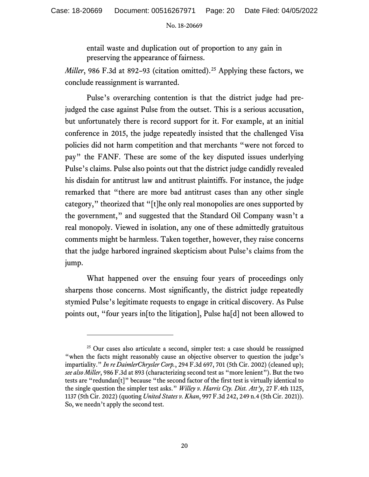entail waste and duplication out of proportion to any gain in preserving the appearance of fairness.

*Miller*, 986 F.3d at 892-93 (citation omitted).<sup>[25](#page-19-0)</sup> Applying these factors, we conclude reassignment is warranted.

Pulse's overarching contention is that the district judge had prejudged the case against Pulse from the outset. This is a serious accusation, but unfortunately there is record support for it. For example, at an initial conference in 2015, the judge repeatedly insisted that the challenged Visa policies did not harm competition and that merchants "were not forced to pay" the FANF. These are some of the key disputed issues underlying Pulse's claims. Pulse also points out that the district judge candidly revealed his disdain for antitrust law and antitrust plaintiffs. For instance, the judge remarked that "there are more bad antitrust cases than any other single category," theorized that "[t]he only real monopolies are ones supported by the government," and suggested that the Standard Oil Company wasn't a real monopoly. Viewed in isolation, any one of these admittedly gratuitous comments might be harmless. Taken together, however, they raise concerns that the judge harbored ingrained skepticism about Pulse's claims from the jump.

What happened over the ensuing four years of proceedings only sharpens those concerns. Most significantly, the district judge repeatedly stymied Pulse's legitimate requests to engage in critical discovery. As Pulse points out, "four years in[to the litigation], Pulse ha[d] not been allowed to

<span id="page-19-0"></span> $25$  Our cases also articulate a second, simpler test: a case should be reassigned "when the facts might reasonably cause an objective observer to question the judge's impartiality." *In re DaimlerChrysler Corp.*, 294 F.3d 697, 701 (5th Cir. 2002) (cleaned up); *see also Miller*, 986 F.3d at 893 (characterizing second test as "more lenient"). But the two tests are "redundan[t]" because "the second factor of the first test is virtually identical to the single question the simpler test asks." *Willey v. Harris Cty. Dist. Att'y*, 27 F.4th 1125, 1137 (5th Cir. 2022) (quoting *United States v. Khan*, 997 F.3d 242, 249 n.4 (5th Cir. 2021)). So, we needn't apply the second test.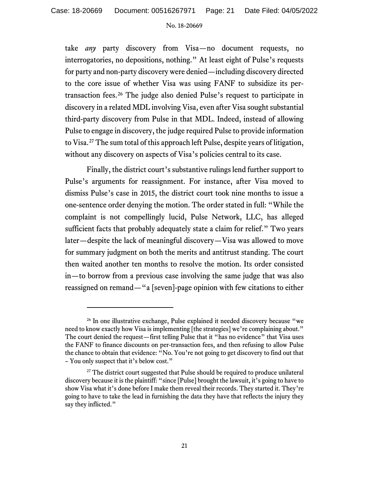take *any* party discovery from Visa—no document requests, no interrogatories, no depositions, nothing." At least eight of Pulse's requests for party and non-party discovery were denied—including discovery directed to the core issue of whether Visa was using FANF to subsidize its pertransaction fees. [26](#page-20-0) The judge also denied Pulse's request to participate in discovery in a related MDL involving Visa, even after Visa sought substantial third-party discovery from Pulse in that MDL. Indeed, instead of allowing Pulse to engage in discovery, the judge required Pulse to provide information to Visa. [27](#page-20-1) The sum total of this approach left Pulse, despite years of litigation, without any discovery on aspects of Visa's policies central to its case.

Finally, the district court's substantive rulings lend further support to Pulse's arguments for reassignment. For instance, after Visa moved to dismiss Pulse's case in 2015, the district court took nine months to issue a one-sentence order denying the motion. The order stated in full: "While the complaint is not compellingly lucid, Pulse Network, LLC, has alleged sufficient facts that probably adequately state a claim for relief." Two years later—despite the lack of meaningful discovery—Visa was allowed to move for summary judgment on both the merits and antitrust standing. The court then waited another ten months to resolve the motion. Its order consisted in—to borrow from a previous case involving the same judge that was also reassigned on remand—"a [seven]-page opinion with few citations to either

<span id="page-20-0"></span><sup>&</sup>lt;sup>26</sup> In one illustrative exchange, Pulse explained it needed discovery because "we need to know exactly how Visa is implementing [the strategies] we're complaining about." The court denied the request—first telling Pulse that it "has no evidence" that Visa uses the FANF to finance discounts on per-transaction fees, and then refusing to allow Pulse the chance to obtain that evidence: "No. You're not going to get discovery to find out that – You only suspect that it's below cost."

<span id="page-20-1"></span><sup>&</sup>lt;sup>27</sup> The district court suggested that Pulse should be required to produce unilateral discovery because it is the plaintiff: "since [Pulse] brought the lawsuit, it's going to have to show Visa what it's done before I make them reveal their records. They started it. They're going to have to take the lead in furnishing the data they have that reflects the injury they say they inflicted."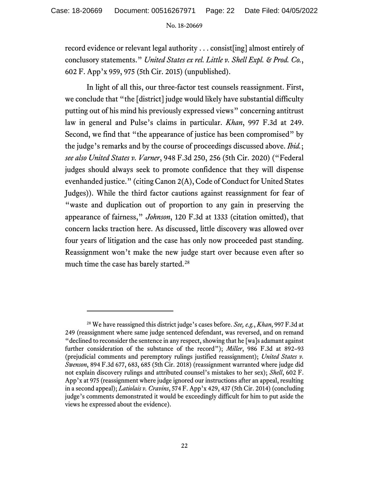record evidence or relevant legal authority . . . consist[ing] almost entirely of conclusory statements." *United States ex rel. Little v. Shell Expl. & Prod. Co.*, 602 F. App'x 959, 975 (5th Cir. 2015) (unpublished).

In light of all this, our three-factor test counsels reassignment. First, we conclude that "the [district] judge would likely have substantial difficulty putting out of his mind his previously expressed views" concerning antitrust law in general and Pulse's claims in particular. *Khan*, 997 F.3d at 249. Second, we find that "the appearance of justice has been compromised" by the judge's remarks and by the course of proceedings discussed above. *Ibid.*; *see also United States v. Varner*, 948 F.3d 250, 256 (5th Cir. 2020) ("Federal judges should always seek to promote confidence that they will dispense evenhanded justice." (citing Canon 2(A), Code of Conduct for United States Judges)). While the third factor cautions against reassignment for fear of "waste and duplication out of proportion to any gain in preserving the appearance of fairness," *Johnson*, 120 F.3d at 1333 (citation omitted), that concern lacks traction here. As discussed, little discovery was allowed over four years of litigation and the case has only now proceeded past standing. Reassignment won't make the new judge start over because even after so much time the case has barely started.<sup>[28](#page-21-0)</sup>

<span id="page-21-0"></span><sup>28</sup> We have reassigned this district judge's cases before. *See, e.g.*, *Khan*, 997 F.3d at 249 (reassignment where same judge sentenced defendant, was reversed, and on remand "declined to reconsider the sentence in any respect, showing that he [wa]s adamant against further consideration of the substance of the record"); *Miller*, 986 F.3d at 892–93 (prejudicial comments and peremptory rulings justified reassignment); *United States v. Swenson*, 894 F.3d 677, 683, 685 (5th Cir. 2018) (reassignment warranted where judge did not explain discovery rulings and attributed counsel's mistakes to her sex); *Shell*, 602 F. App'x at 975 (reassignment where judge ignored our instructions after an appeal, resulting in a second appeal); *Latiolais v. Cravins*, 574 F. App'x 429, 437 (5th Cir. 2014) (concluding judge's comments demonstrated it would be exceedingly difficult for him to put aside the views he expressed about the evidence).